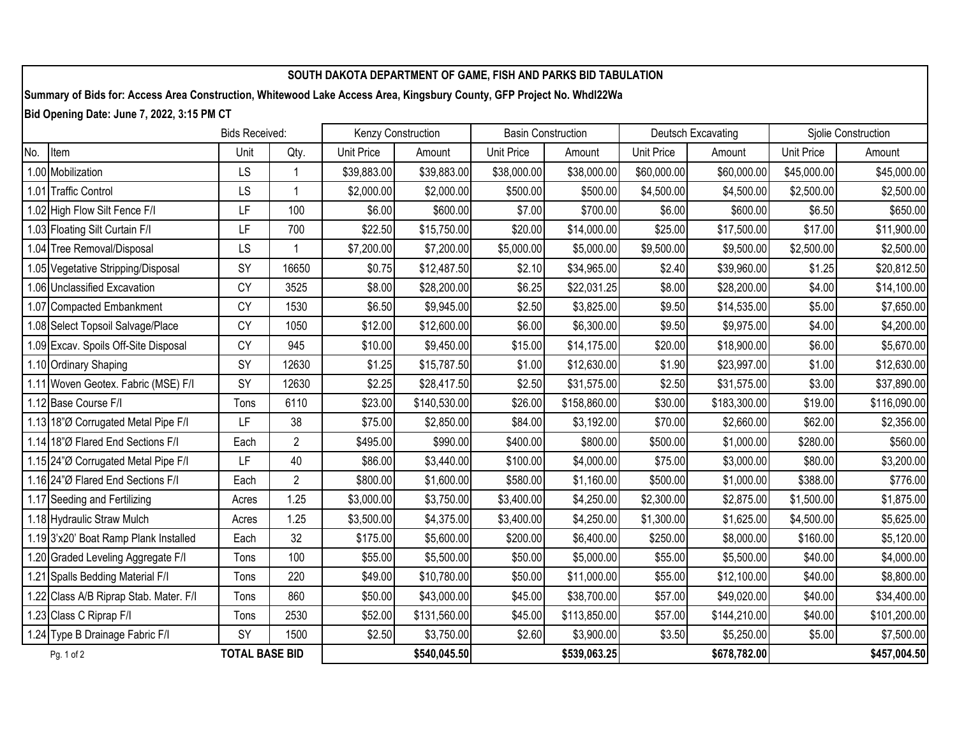## **SOUTH DAKOTA DEPARTMENT OF GAME, FISH AND PARKS BID TABULATION**

**Summary of Bids for: Access Area Construction, Whitewood Lake Access Area, Kingsbury County, GFP Project No. Whdl22Wa**

**Bid Opening Date: June 7, 2022, 3:15 PM CT**

|            | <b>Bids Received:</b>                  |                       |                | Kenzy Construction |              | <b>Basin Construction</b> |              | <b>Deutsch Excavating</b> |              | Sjolie Construction |              |
|------------|----------------------------------------|-----------------------|----------------|--------------------|--------------|---------------------------|--------------|---------------------------|--------------|---------------------|--------------|
| No.        | Item                                   | Unit                  | Qty.           | Unit Price         | Amount       | <b>Unit Price</b>         | Amount       | <b>Unit Price</b>         | Amount       | Unit Price          | Amount       |
|            | 1.00 Mobilization                      | LS                    | 1              | \$39,883.00        | \$39,883.00  | \$38,000.00               | \$38,000.00  | \$60,000.00               | \$60,000.00  | \$45,000.00         | \$45,000.00  |
|            | 1.01 Traffic Control                   | LS                    | 1              | \$2,000.00         | \$2,000.00   | \$500.00                  | \$500.00     | \$4,500.00                | \$4,500.00   | \$2,500.00          | \$2,500.00   |
|            | 1.02 High Flow Silt Fence F/I          | LF                    | 100            | \$6.00             | \$600.00     | \$7.00                    | \$700.00     | \$6.00                    | \$600.00     | \$6.50              | \$650.00     |
|            | 1.03 Floating Silt Curtain F/I         | LF                    | 700            | \$22.50            | \$15,750.00  | \$20.00                   | \$14,000.00  | \$25.00                   | \$17,500.00  | \$17.00             | \$11,900.00  |
|            | 1.04 Tree Removal/Disposal             | LS                    |                | \$7,200.00         | \$7,200.00   | \$5,000.00                | \$5,000.00   | \$9,500.00                | \$9,500.00   | \$2,500.00          | \$2,500.00   |
|            | 1.05 Vegetative Stripping/Disposal     | SY                    | 16650          | \$0.75             | \$12,487.50  | \$2.10                    | \$34,965.00  | \$2.40                    | \$39,960.00  | \$1.25              | \$20,812.50  |
|            | 1.06 Unclassified Excavation           | <b>CY</b>             | 3525           | \$8.00             | \$28,200.00  | \$6.25                    | \$22,031.25  | \$8.00                    | \$28,200.00  | \$4.00              | \$14,100.00  |
|            | 1.07 Compacted Embankment              | <b>CY</b>             | 1530           | \$6.50             | \$9,945.00   | \$2.50                    | \$3,825.00   | \$9.50                    | \$14,535.00  | \$5.00              | \$7,650.00   |
|            | 1.08 Select Topsoil Salvage/Place      | <b>CY</b>             | 1050           | \$12.00            | \$12,600.00  | \$6.00                    | \$6,300.00   | \$9.50                    | \$9,975.00   | \$4.00              | \$4,200.00   |
|            | 1.09 Excav. Spoils Off-Site Disposal   | <b>CY</b>             | 945            | \$10.00            | \$9,450.00   | \$15.00                   | \$14,175.00  | \$20.00                   | \$18,900.00  | \$6.00              | \$5,670.00   |
|            | 1.10 Ordinary Shaping                  | SY                    | 12630          | \$1.25             | \$15,787.50  | \$1.00                    | \$12,630.00  | \$1.90                    | \$23,997.00  | \$1.00              | \$12,630.00  |
|            | 1.11 Woven Geotex. Fabric (MSE) F/I    | SY                    | 12630          | \$2.25             | \$28,417.50  | \$2.50                    | \$31,575.00  | \$2.50                    | \$31,575.00  | \$3.00              | \$37,890.00  |
|            | 1.12 Base Course F/I                   | Tons                  | 6110           | \$23.00            | \$140,530.00 | \$26.00                   | \$158,860.00 | \$30.00                   | \$183,300.00 | \$19.00             | \$116,090.00 |
|            | 1.13 18"Ø Corrugated Metal Pipe F/I    | LF                    | 38             | \$75.00            | \$2,850.00   | \$84.00                   | \$3,192.00   | \$70.00                   | \$2,660.00   | \$62.00             | \$2,356.00   |
|            | 1.14 18"Ø Flared End Sections F/I      | Each                  | $\overline{c}$ | \$495.00           | \$990.00     | \$400.00                  | \$800.00     | \$500.00                  | \$1,000.00   | \$280.00            | \$560.00     |
|            | 1.15 24"Ø Corrugated Metal Pipe F/I    | LF                    | 40             | \$86.00            | \$3,440.00   | \$100.00                  | \$4,000.00   | \$75.00                   | \$3,000.00   | \$80.00             | \$3,200.00   |
|            | 1.16 24"Ø Flared End Sections F/I      | Each                  | $\overline{c}$ | \$800.00           | \$1,600.00   | \$580.00                  | \$1,160.00   | \$500.00                  | \$1,000.00   | \$388.00            | \$776.00     |
|            | 1.17 Seeding and Fertilizing           | Acres                 | 1.25           | \$3,000.00         | \$3,750.00   | \$3,400.00                | \$4,250.00   | \$2,300.00                | \$2,875.00   | \$1,500.00          | \$1,875.00   |
|            | 1.18 Hydraulic Straw Mulch             | Acres                 | 1.25           | \$3,500.00         | \$4,375.00   | \$3,400.00                | \$4,250.00   | \$1,300.00                | \$1,625.00   | \$4,500.00          | \$5,625.00   |
|            | 1.19 3'x20' Boat Ramp Plank Installed  | Each                  | 32             | \$175.00           | \$5,600.00   | \$200.00                  | \$6,400.00   | \$250.00                  | \$8,000.00   | \$160.00            | \$5,120.00   |
|            | 1.20 Graded Leveling Aggregate F/I     | Tons                  | 100            | \$55.00            | \$5,500.00   | \$50.00                   | \$5,000.00   | \$55.00                   | \$5,500.00   | \$40.00             | \$4,000.00   |
|            | 1.21 Spalls Bedding Material F/I       | Tons                  | 220            | \$49.00            | \$10,780.00  | \$50.00                   | \$11,000.00  | \$55.00                   | \$12,100.00  | \$40.00             | \$8,800.00   |
|            | 1.22 Class A/B Riprap Stab. Mater. F/I | Tons                  | 860            | \$50.00            | \$43,000.00  | \$45.00                   | \$38,700.00  | \$57.00                   | \$49,020.00  | \$40.00             | \$34,400.00  |
|            | 1.23 Class C Riprap F/I                | Tons                  | 2530           | \$52.00            | \$131,560.00 | \$45.00                   | \$113,850.00 | \$57.00                   | \$144,210.00 | \$40.00             | \$101,200.00 |
|            | 1.24 Type B Drainage Fabric F/I        | SY                    | 1500           | \$2.50             | \$3,750.00   | \$2.60                    | \$3,900.00   | \$3.50                    | \$5,250.00   | \$5.00              | \$7,500.00   |
| Pg. 1 of 2 |                                        | <b>TOTAL BASE BID</b> |                |                    | \$540,045.50 |                           | \$539,063.25 |                           | \$678,782.00 | \$457,004.50        |              |